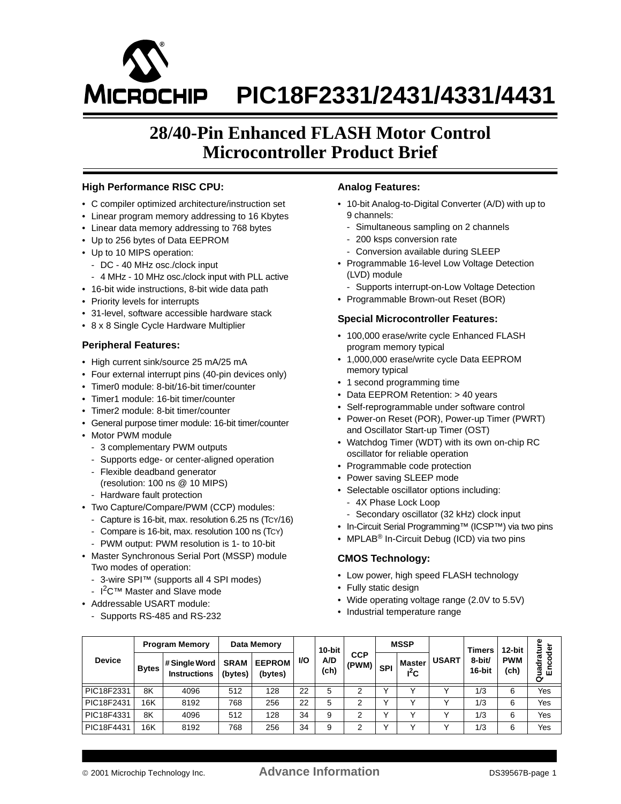

# **28/40-Pin Enhanced FLASH Motor Control Microcontroller Product Brief**

# **High Performance RISC CPU:**

- C compiler optimized architecture/instruction set
- Linear program memory addressing to 16 Kbytes
- Linear data memory addressing to 768 bytes
- Up to 256 bytes of Data EEPROM
- Up to 10 MIPS operation:
	- DC 40 MHz osc./clock input
	- 4 MHz 10 MHz osc./clock input with PLL active
- 16-bit wide instructions, 8-bit wide data path
- Priority levels for interrupts
- 31-level, software accessible hardware stack
- 8 x 8 Single Cycle Hardware Multiplier

# **Peripheral Features:**

- High current sink/source 25 mA/25 mA
- Four external interrupt pins (40-pin devices only)
- Timer0 module: 8-bit/16-bit timer/counter
- Timer1 module: 16-bit timer/counter
- Timer2 module: 8-bit timer/counter
- General purpose timer module: 16-bit timer/counter
- Motor PWM module
- 3 complementary PWM outputs
- Supports edge- or center-aligned operation
- Flexible deadband generator
- (resolution: 100 ns @ 10 MIPS)
- Hardware fault protection
- Two Capture/Compare/PWM (CCP) modules:
	- Capture is 16-bit, max. resolution 6.25 ns (TCY/16)
	- Compare is 16-bit, max. resolution 100 ns (TCY)
	- PWM output: PWM resolution is 1- to 10-bit
- Master Synchronous Serial Port (MSSP) module Two modes of operation:
	- 3-wire SPI™ (supports all 4 SPI modes)
	- I2C™ Master and Slave mode
- Addressable USART module:
- Supports RS-485 and RS-232

# **Analog Features:**

- 10-bit Analog-to-Digital Converter (A/D) with up to 9 channels:
	- Simultaneous sampling on 2 channels
	- 200 ksps conversion rate
	- Conversion available during SLEEP
- Programmable 16-level Low Voltage Detection (LVD) module
	- Supports interrupt-on-Low Voltage Detection
- Programmable Brown-out Reset (BOR)

### **Special Microcontroller Features:**

- 100,000 erase/write cycle Enhanced FLASH program memory typical
- 1,000,000 erase/write cycle Data EEPROM memory typical
- 1 second programming time
- Data EEPROM Retention: > 40 years
- Self-reprogrammable under software control
- Power-on Reset (POR), Power-up Timer (PWRT) and Oscillator Start-up Timer (OST)
- Watchdog Timer (WDT) with its own on-chip RC oscillator for reliable operation
- Programmable code protection
- Power saving SLEEP mode
- Selectable oscillator options including:
	- 4X Phase Lock Loop
	- Secondary oscillator (32 kHz) clock input
- In-Circuit Serial Programming™ (ICSP™) via two pins
- MPLAB<sup>®</sup> In-Circuit Debug (ICD) via two pins

# **CMOS Technology:**

- Low power, high speed FLASH technology
- Fully static design
- Wide operating voltage range (2.0V to 5.5V)
- Industrial temperature range

| <b>Device</b> | <b>Program Memory</b> |                                     | Data Memory            |                          |     | $10$ -bit   |                     | <b>MSSP</b> |                         |              | <b>Timers</b>    | 12-bit             | Φ<br>2                |
|---------------|-----------------------|-------------------------------------|------------------------|--------------------------|-----|-------------|---------------------|-------------|-------------------------|--------------|------------------|--------------------|-----------------------|
|               | <b>Bytes</b>          | #Single Word<br><b>Instructions</b> | <b>SRAM</b><br>(bytes) | <b>EEPROM</b><br>(bytes) | I/O | A/D<br>(ch) | <b>CCP</b><br>(PWM) | <b>SPI</b>  | <b>Master</b><br>$I^2C$ | <b>USART</b> | 8-bit/<br>16-bit | <b>PWM</b><br>(ch) | ᢐ<br>ъ<br>ᢐ<br>ш<br>σ |
| PIC18F2331    | 8K                    | 4096                                | 512                    | 128                      | 22  | 5           |                     |             | v                       |              | 1/3              | 6                  | Yes                   |
| PIC18F2431    | 16K                   | 8192                                | 768                    | 256                      | 22  | 5           |                     |             |                         |              | 1/3              | 6                  | Yes                   |
| PIC18F4331    | 8K                    | 4096                                | 512                    | 128                      | 34  | 9           | ົ                   |             | v                       |              | 1/3              | 6                  | Yes                   |
| PIC18F4431    | 16K                   | 8192                                | 768                    | 256                      | 34  | 9           |                     |             | v                       |              | 1/3              | 6                  | Yes                   |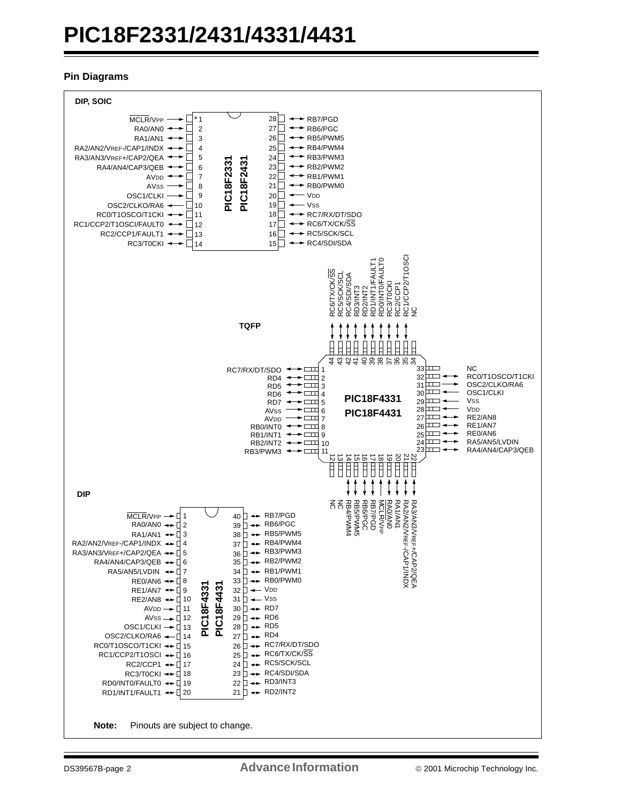# **PIC18F2331/2431/4331/4431**

# **Pin Diagrams**

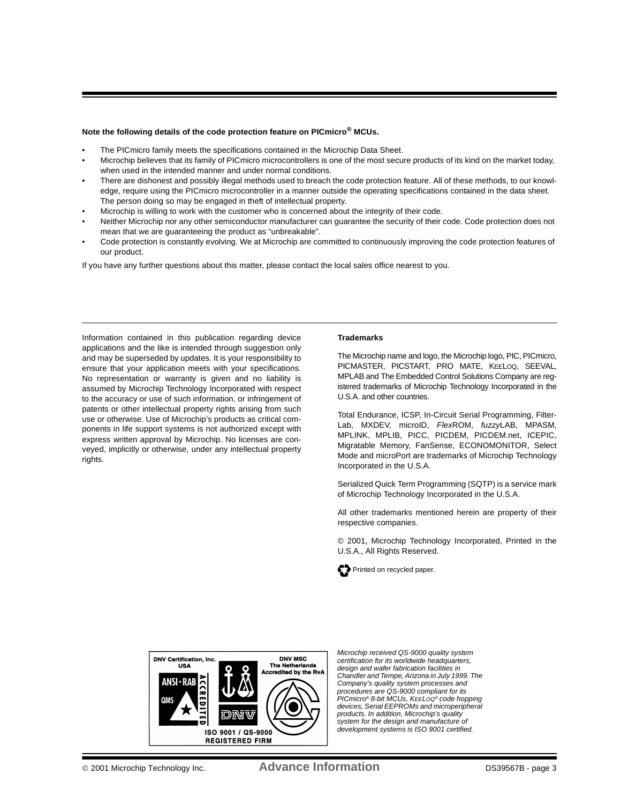#### **Note the following details of the code protection feature on PICmicro® MCUs.**

- The PICmicro family meets the specifications contained in the Microchip Data Sheet.
- Microchip believes that its family of PICmicro microcontrollers is one of the most secure products of its kind on the market today, when used in the intended manner and under normal conditions.
- There are dishonest and possibly illegal methods used to breach the code protection feature. All of these methods, to our knowledge, require using the PICmicro microcontroller in a manner outside the operating specifications contained in the data sheet. The person doing so may be engaged in theft of intellectual property.
- Microchip is willing to work with the customer who is concerned about the integrity of their code.
- Neither Microchip nor any other semiconductor manufacturer can guarantee the security of their code. Code protection does not mean that we are guaranteeing the product as "unbreakable".
- Code protection is constantly evolving. We at Microchip are committed to continuously improving the code protection features of our product.

If you have any further questions about this matter, please contact the local sales office nearest to you.

Information contained in this publication regarding device applications and the like is intended through suggestion only and may be superseded by updates. It is your responsibility to ensure that your application meets with your specifications. No representation or warranty is given and no liability is assumed by Microchip Technology Incorporated with respect to the accuracy or use of such information, or infringement of patents or other intellectual property rights arising from such use or otherwise. Use of Microchip's products as critical components in life support systems is not authorized except with express written approval by Microchip. No licenses are conveyed, implicitly or otherwise, under any intellectual property rights

#### **Trademarks**

The Microchip name and logo, the Microchip logo, PIC, PICmicro, PICMASTER, PICSTART, PRO MATE, KEELOQ, SEEVAL, MPLAB and The Embedded Control Solutions Company are registered trademarks of Microchip Technology Incorporated in the U.S.A. and other countries.

Total Endurance, ICSP, In-Circuit Serial Programming, Filter-Lab, MXDEV, microID, *Flex*ROM, *fuzzy*LAB, MPASM, MPLINK, MPLIB, PICC, PICDEM, PICDEM.net, ICEPIC, Migratable Memory, FanSense, ECONOMONITOR, Select Mode and microPort are trademarks of Microchip Technology Incorporated in the U.S.A.

Serialized Quick Term Programming (SQTP) is a service mark of Microchip Technology Incorporated in the U.S.A.

All other trademarks mentioned herein are property of their respective companies.

© 2001, Microchip Technology Incorporated, Printed in the U.S.A., All Rights Reserved.





*Microchip received QS-9000 quality system certification for its worldwide headquarters, design and wafer fabrication facilities in Chandler and Tempe, Arizona in July 1999. The Company's quality system processes and procedures are QS-9000 compliant for its PICmicro® 8-bit MCUs, KEELOQ® code hopping devices, Serial EEPROMs and microperipheral products. In addition, Microchip's quality system for the design and manufacture of development systems is ISO 9001 certified.*